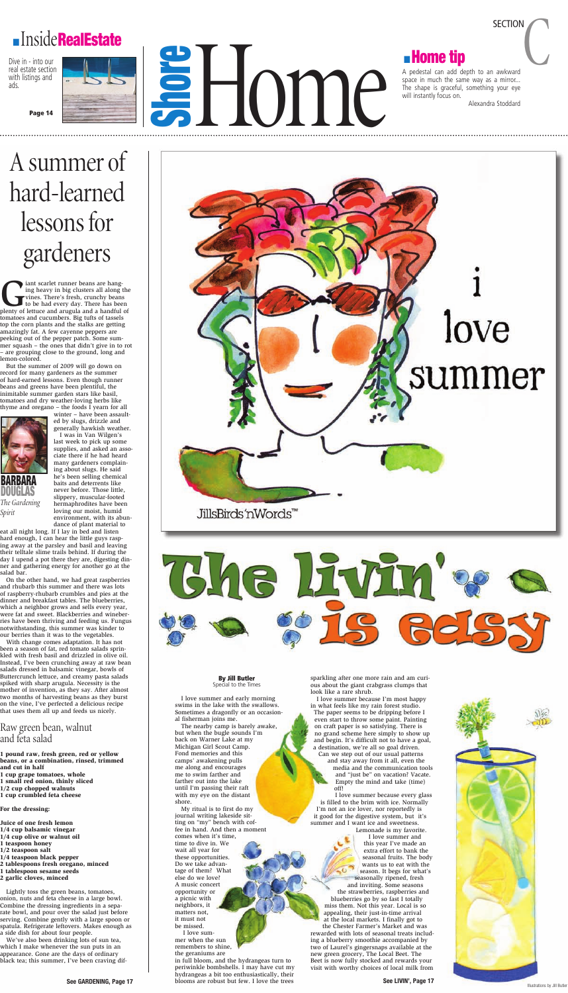**By Jill Butler** Special to the Times

I love summer and early morning swims in the lake with the swallows. Sometimes a dragonfly or an occasional fisherman joins me.

The nearby camp is barely awake, but when the bugle sounds I'm back on Warner Lake at my Michigan Girl Scout Camp. Fond memories and this camps' awakening pulls me along and encourages me to swim farther and farther out into the lake until I'm passing their raft with my eye on the distant shore.

My ritual is to first do my journal writing lakeside sitting on "my" bench with coffee in hand. And then a moment comes when it's time,

time to dive in. We wait all year for these opportunities. Do we take advantage of them? What else do we love? A music concert opportunity or a picnic with neighbors, it matters not, it must not be missed. I love summer when the sun remembers to shine, the geraniums are

sparkling after one more rain and am curious about the giant crabgrass clumps that look like a rare shrub.

I love summer because I'm most happy in what feels like my rain forest studio. The paper seems to be dripping before I even start to throw some paint. Painting on craft paper is so satisfying. There is no grand scheme here simply to show up and begin. It's difficult not to have a goal, a destination, we're all so goal driven. Can we step out of our usual patterns

and stay away from it all, even the media and the communication tools and "just be" on vacation? Vacate. Empty the mind and take (time) off!

ant scarlet runner beans are hanging heavy in big clusters all along the vines. There's fresh, crunchy beans to be had every day. There has been plenty of lettuce and arugula and a handful of iant scarlet runner beans are hanging heavy in big clusters all along the vines. There's fresh, crunchy beans to be had every day. There has been tomatoes and cucumbers. Big tufts of tassels top the corn plants and the stalks are getting amazingly fat. A few cayenne peppers are peeking out of the pepper patch. Some summer squash – the ones that didn't give in to rot – are grouping close to the ground, long and lemon-colored.

> I love summer because every glass is filled to the brim with ice. Normally I'm not an ice lover, nor reportedly is it good for the digestive system, but it's summer and I want ice and sweetness.

in full bloom, and the hydrangeas turn to periwinkle bombshells. I may have cut my hydrangeas a bit too enthusiastically, their blooms are robust but few. I love the trees **See GARDENING, Page 17 See LIVIN', Page 17**

Lemonade is my favorite. I love summer and this year I've made an extra effort to bank the seasonal fruits. The body wants us to eat with the season. It begs for what's seasonally ripened, fresh and inviting. Some seasons the strawberries, raspberries and blueberries go by so fast I totally miss them. Not this year. Local is so appealing, their just-in-time arrival at the local markets. I finally got to the Chester Farmer's Market and was rewarded with lots of seasonal treats including a blueberry smoothie accompanied by two of Laurel's gingersnaps available at the new green grocery, The Local Beet. The Beet is now fully stocked and rewards your

visit with worthy choices of local milk from

### **InsideRealEstate**

Dive in - into our real estate section with listings and ads.

**Page 14**

a Home

SECTION<br>
A pedestal can add depth to an awkward<br>
A pedestal can add depth to an awkward space in much the same way as a mirror... The shape is graceful, something your eye will instantly focus on.

Alexandra Stoddard

**SECTION** 

## Asummerof hard-learned lessonsfor gardeners

But the summer of 2009 will go down on record for many gardeners as the summer of hard-earned lessons. Even though runner beans and greens have been plentiful, the inimitable summer garden stars like basil, tomatoes and dry weather-loving herbs like thyme and oregano – the foods I yearn for all

winter – have been assaulted by slugs, drizzle and generally hawkish weather.

I was in Van Wilgen's last week to pick up some supplies, and asked an associate there if he had heard many gardeners complaining about slugs. He said he's been selling chemical baits and deterrents like never before. Those little, slippery, muscular-footed hermaphrodites have been loving our moist, humid environment, with its abundance of plant material to

eat all night long. If I lay in bed and listen hard enough, I can hear the little guys rasping away at the parsley and basil and leaving their telltale slime trails behind. If during the day I upend a pot there they are, digesting dinner and gathering energy for another go at the salad bar.

On the other hand, we had great raspberries and rhubarb this summer and there was lots of raspberry-rhubarb crumbles and pies at the dinner and breakfast tables. The blueberries, which a neighbor grows and sells every year, were fat and sweet. Blackberries and wineberries have been thriving and feeding us. Fungus notwithstanding, this summer was kinder to our berries than it was to the vegetables. With change comes adaptation. It has not been a season of fat, red tomato salads sprinkled with fresh basil and drizzled in olive oil. Instead, I've been crunching away at raw bean salads dressed in balsamic vinegar, bowls of Buttercrunch lettuce, and creamy pasta salads spiked with sharp arugula. Necessity is the mother of invention, as they say. After almost two months of harvesting beans as they burst on the vine, I've perfected a delicious recipe that uses them all up and feeds us nicely.



### Raw green bean, walnut and feta salad

1 pound raw, fresh green, red or yellow beans, or a combination, rinsed, trimmed and cut in half

- 1 cup grape tomatoes, whole
- 1 small red onion, thinly sliced
- 1/2 cup chopped walnuts
- 1 cup crumbled feta cheese

For the dressing:

- Juice of one fresh lemon
- 1/4 cup balsamic vinegar
- 1/4 cup olive or walnut oil
- 1 teaspoon honey
- 1/2 teaspoon salt
- 1/4 teaspoon black pepper
- 2 tablespoons fresh oregano, minced
- 1 tablespoon sesame seeds
- 2 garlic cloves, minced

Lightly toss the green beans, tomatoes, onion, nuts and feta cheese in a large bowl. Combine the dressing ingredients in a separate bowl, and pour over the salad just before serving. Combine gently with a large spoon or spatula. Refrigerate leftovers. Makes enough as a side dish for about four people.

We've also been drinking lots of sun tea, which I make whenever the sun puts in an appearance. Gone are the days of ordinary black tea; this summer, I've been craving dif-

*Spirit*